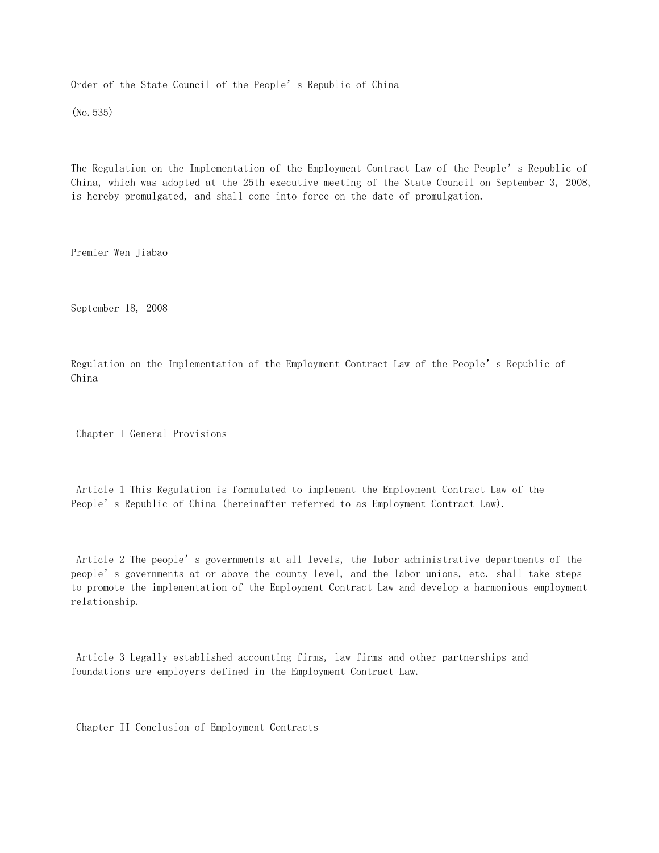Order of the State Council of the People's Republic of China

(No.535)

The Regulation on the Implementation of the Employment Contract Law of the People's Republic of China, which was adopted at the 25th executive meeting of the State Council on September 3, 2008, is hereby promulgated, and shall come into force on the date of promulgation.

Premier Wen Jiabao

September 18, 2008

Regulation on the Implementation of the Employment Contract Law of the People's Republic of China

Chapter I General Provisions

 Article 1 This Regulation is formulated to implement the Employment Contract Law of the People's Republic of China (hereinafter referred to as Employment Contract Law).

 Article 2 The people's governments at all levels, the labor administrative departments of the people's governments at or above the county level, and the labor unions, etc. shall take steps to promote the implementation of the Employment Contract Law and develop a harmonious employment relationship.

 Article 3 Legally established accounting firms, law firms and other partnerships and foundations are employers defined in the Employment Contract Law.

Chapter II Conclusion of Employment Contracts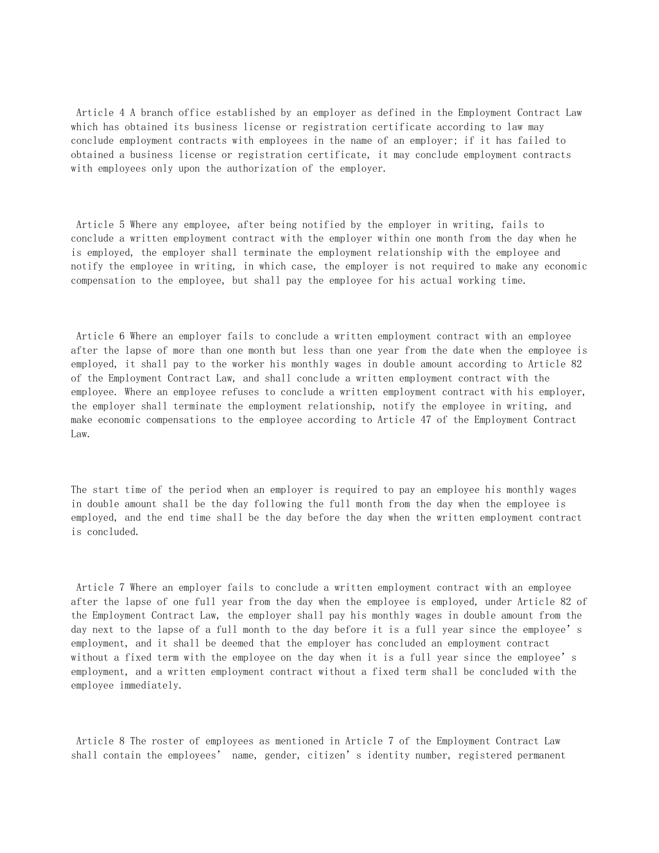Article 4 A branch office established by an employer as defined in the Employment Contract Law which has obtained its business license or registration certificate according to law may conclude employment contracts with employees in the name of an employer; if it has failed to obtained a business license or registration certificate, it may conclude employment contracts with employees only upon the authorization of the employer.

 Article 5 Where any employee, after being notified by the employer in writing, fails to conclude a written employment contract with the employer within one month from the day when he is employed, the employer shall terminate the employment relationship with the employee and notify the employee in writing, in which case, the employer is not required to make any economic compensation to the employee, but shall pay the employee for his actual working time.

 Article 6 Where an employer fails to conclude a written employment contract with an employee after the lapse of more than one month but less than one year from the date when the employee is employed, it shall pay to the worker his monthly wages in double amount according to Article 82 of the Employment Contract Law, and shall conclude a written employment contract with the employee. Where an employee refuses to conclude a written employment contract with his employer, the employer shall terminate the employment relationship, notify the employee in writing, and make economic compensations to the employee according to Article 47 of the Employment Contract Law.

The start time of the period when an employer is required to pay an employee his monthly wages in double amount shall be the day following the full month from the day when the employee is employed, and the end time shall be the day before the day when the written employment contract is concluded.

 Article 7 Where an employer fails to conclude a written employment contract with an employee after the lapse of one full year from the day when the employee is employed, under Article 82 of the Employment Contract Law, the employer shall pay his monthly wages in double amount from the day next to the lapse of a full month to the day before it is a full year since the employee's employment, and it shall be deemed that the employer has concluded an employment contract without a fixed term with the employee on the day when it is a full year since the employee's employment, and a written employment contract without a fixed term shall be concluded with the employee immediately.

 Article 8 The roster of employees as mentioned in Article 7 of the Employment Contract Law shall contain the employees' name, gender, citizen's identity number, registered permanent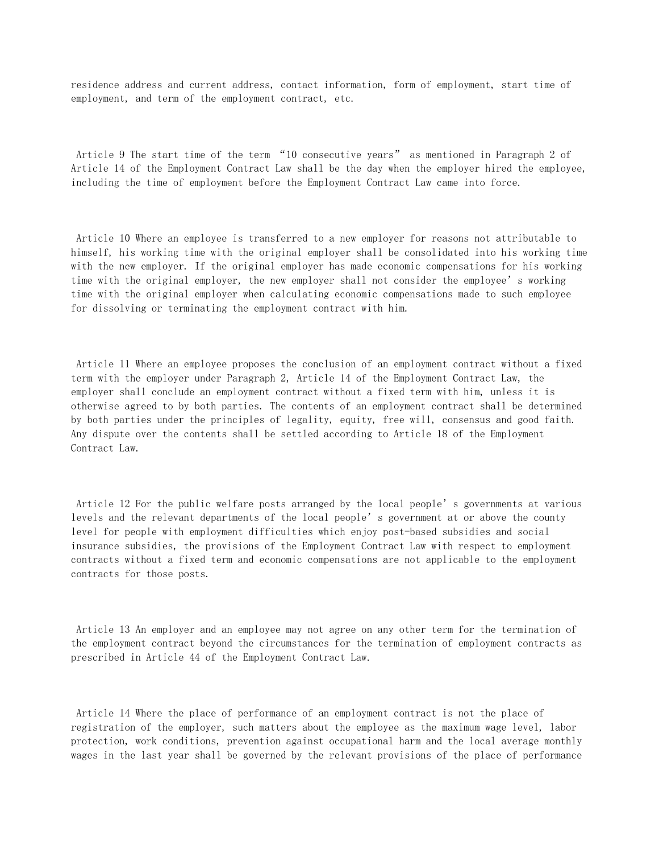residence address and current address, contact information, form of employment, start time of employment, and term of the employment contract, etc.

 Article 9 The start time of the term "10 consecutive years" as mentioned in Paragraph 2 of Article 14 of the Employment Contract Law shall be the day when the employer hired the employee, including the time of employment before the Employment Contract Law came into force.

 Article 10 Where an employee is transferred to a new employer for reasons not attributable to himself, his working time with the original employer shall be consolidated into his working time with the new employer. If the original employer has made economic compensations for his working time with the original employer, the new employer shall not consider the employee's working time with the original employer when calculating economic compensations made to such employee for dissolving or terminating the employment contract with him.

 Article 11 Where an employee proposes the conclusion of an employment contract without a fixed term with the employer under Paragraph 2, Article 14 of the Employment Contract Law, the employer shall conclude an employment contract without a fixed term with him, unless it is otherwise agreed to by both parties. The contents of an employment contract shall be determined by both parties under the principles of legality, equity, free will, consensus and good faith. Any dispute over the contents shall be settled according to Article 18 of the Employment Contract Law.

 Article 12 For the public welfare posts arranged by the local people's governments at various levels and the relevant departments of the local people's government at or above the county level for people with employment difficulties which enjoy post-based subsidies and social insurance subsidies, the provisions of the Employment Contract Law with respect to employment contracts without a fixed term and economic compensations are not applicable to the employment contracts for those posts.

 Article 13 An employer and an employee may not agree on any other term for the termination of the employment contract beyond the circumstances for the termination of employment contracts as prescribed in Article 44 of the Employment Contract Law.

 Article 14 Where the place of performance of an employment contract is not the place of registration of the employer, such matters about the employee as the maximum wage level, labor protection, work conditions, prevention against occupational harm and the local average monthly wages in the last year shall be governed by the relevant provisions of the place of performance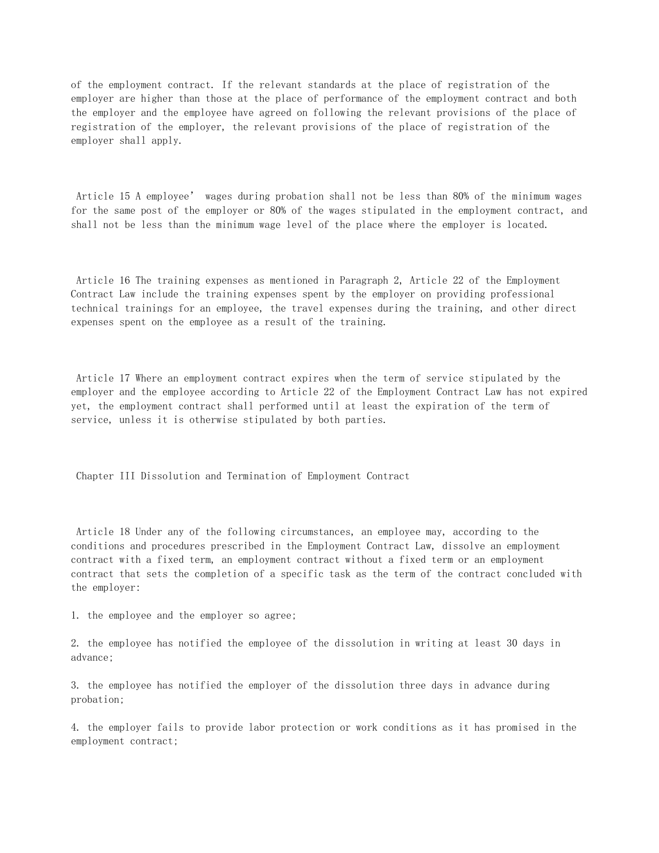of the employment contract. If the relevant standards at the place of registration of the employer are higher than those at the place of performance of the employment contract and both the employer and the employee have agreed on following the relevant provisions of the place of registration of the employer, the relevant provisions of the place of registration of the employer shall apply.

 Article 15 A employee' wages during probation shall not be less than 80% of the minimum wages for the same post of the employer or 80% of the wages stipulated in the employment contract, and shall not be less than the minimum wage level of the place where the employer is located.

 Article 16 The training expenses as mentioned in Paragraph 2, Article 22 of the Employment Contract Law include the training expenses spent by the employer on providing professional technical trainings for an employee, the travel expenses during the training, and other direct expenses spent on the employee as a result of the training.

 Article 17 Where an employment contract expires when the term of service stipulated by the employer and the employee according to Article 22 of the Employment Contract Law has not expired yet, the employment contract shall performed until at least the expiration of the term of service, unless it is otherwise stipulated by both parties.

Chapter III Dissolution and Termination of Employment Contract

 Article 18 Under any of the following circumstances, an employee may, according to the conditions and procedures prescribed in the Employment Contract Law, dissolve an employment contract with a fixed term, an employment contract without a fixed term or an employment contract that sets the completion of a specific task as the term of the contract concluded with the employer:

1. the employee and the employer so agree;

2. the employee has notified the employee of the dissolution in writing at least 30 days in advance;

3. the employee has notified the employer of the dissolution three days in advance during probation;

4. the employer fails to provide labor protection or work conditions as it has promised in the employment contract;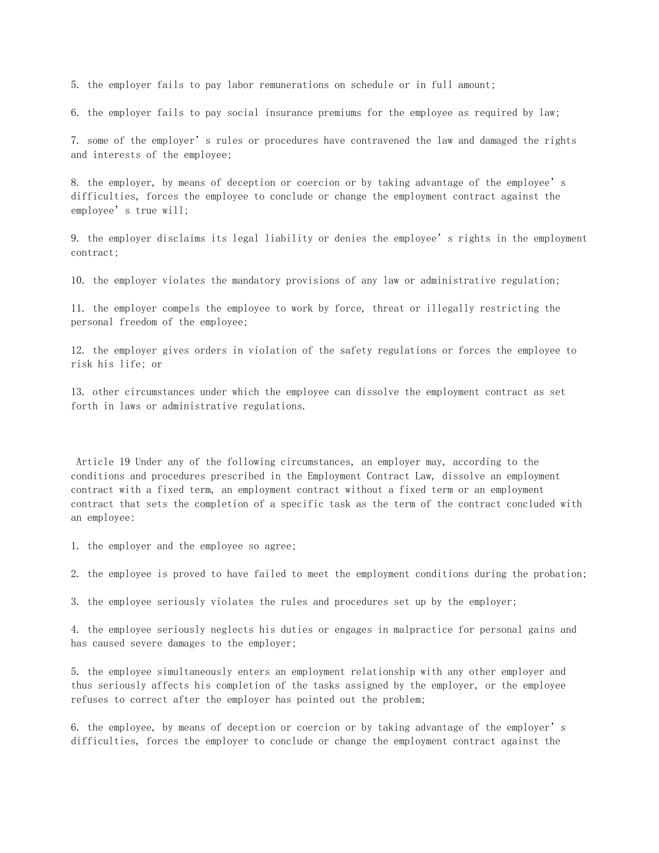5. the employer fails to pay labor remunerations on schedule or in full amount;

6. the employer fails to pay social insurance premiums for the employee as required by law;

7. some of the employer's rules or procedures have contravened the law and damaged the rights and interests of the employee;

8. the employer, by means of deception or coercion or by taking advantage of the employee's difficulties, forces the employee to conclude or change the employment contract against the employee's true will;

9. the employer disclaims its legal liability or denies the employee's rights in the employment contract;

10. the employer violates the mandatory provisions of any law or administrative regulation;

11. the employer compels the employee to work by force, threat or illegally restricting the personal freedom of the employee;

12. the employer gives orders in violation of the safety regulations or forces the employee to risk his life; or

13. other circumstances under which the employee can dissolve the employment contract as set forth in laws or administrative regulations.

 Article 19 Under any of the following circumstances, an employer may, according to the conditions and procedures prescribed in the Employment Contract Law, dissolve an employment contract with a fixed term, an employment contract without a fixed term or an employment contract that sets the completion of a specific task as the term of the contract concluded with an employee:

1. the employer and the employee so agree;

2. the employee is proved to have failed to meet the employment conditions during the probation;

3. the employee seriously violates the rules and procedures set up by the employer;

4. the employee seriously neglects his duties or engages in malpractice for personal gains and has caused severe damages to the employer;

5. the employee simultaneously enters an employment relationship with any other employer and thus seriously affects his completion of the tasks assigned by the employer, or the employee refuses to correct after the employer has pointed out the problem;

6. the employee, by means of deception or coercion or by taking advantage of the employer's difficulties, forces the employer to conclude or change the employment contract against the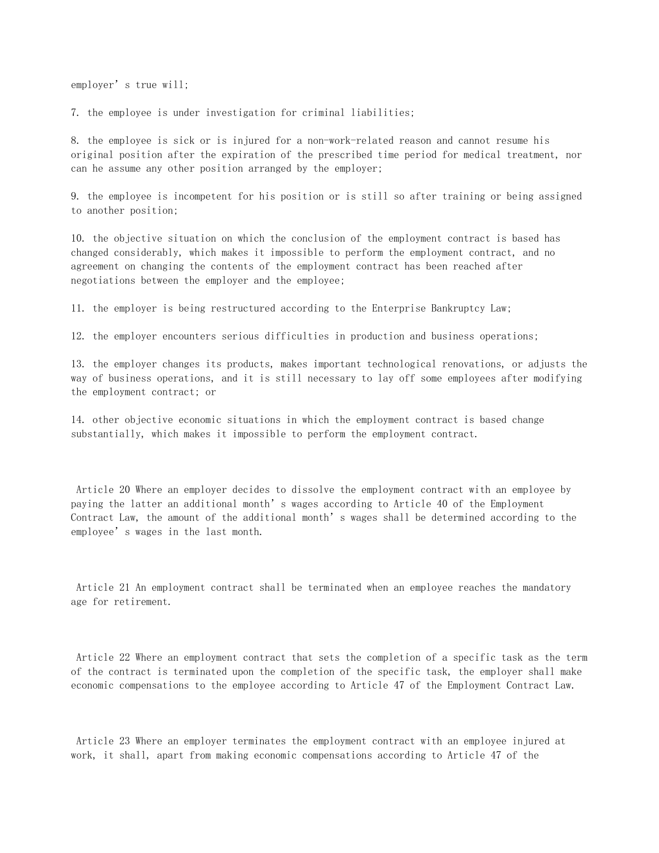employer's true will;

7. the employee is under investigation for criminal liabilities;

8. the employee is sick or is injured for a non-work-related reason and cannot resume his original position after the expiration of the prescribed time period for medical treatment, nor can he assume any other position arranged by the employer;

9. the employee is incompetent for his position or is still so after training or being assigned to another position;

10. the objective situation on which the conclusion of the employment contract is based has changed considerably, which makes it impossible to perform the employment contract, and no agreement on changing the contents of the employment contract has been reached after negotiations between the employer and the employee;

11. the employer is being restructured according to the Enterprise Bankruptcy Law;

12. the employer encounters serious difficulties in production and business operations;

13. the employer changes its products, makes important technological renovations, or adjusts the way of business operations, and it is still necessary to lay off some employees after modifying the employment contract; or

14. other objective economic situations in which the employment contract is based change substantially, which makes it impossible to perform the employment contract.

 Article 20 Where an employer decides to dissolve the employment contract with an employee by paying the latter an additional month's wages according to Article 40 of the Employment Contract Law, the amount of the additional month's wages shall be determined according to the employee's wages in the last month.

 Article 21 An employment contract shall be terminated when an employee reaches the mandatory age for retirement.

 Article 22 Where an employment contract that sets the completion of a specific task as the term of the contract is terminated upon the completion of the specific task, the employer shall make economic compensations to the employee according to Article 47 of the Employment Contract Law.

 Article 23 Where an employer terminates the employment contract with an employee injured at work, it shall, apart from making economic compensations according to Article 47 of the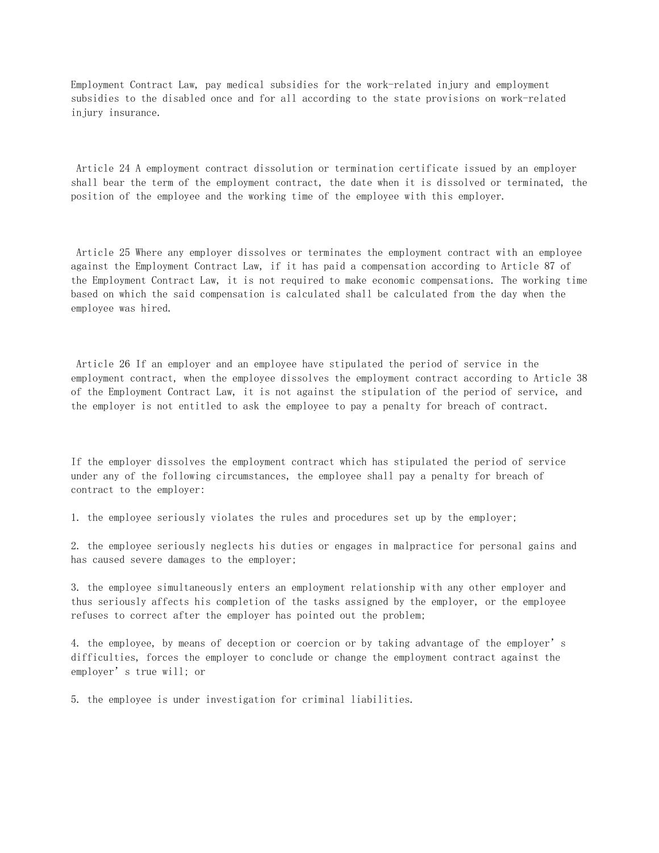Employment Contract Law, pay medical subsidies for the work-related injury and employment subsidies to the disabled once and for all according to the state provisions on work-related injury insurance.

 Article 24 A employment contract dissolution or termination certificate issued by an employer shall bear the term of the employment contract, the date when it is dissolved or terminated, the position of the employee and the working time of the employee with this employer.

 Article 25 Where any employer dissolves or terminates the employment contract with an employee against the Employment Contract Law, if it has paid a compensation according to Article 87 of the Employment Contract Law, it is not required to make economic compensations. The working time based on which the said compensation is calculated shall be calculated from the day when the employee was hired.

 Article 26 If an employer and an employee have stipulated the period of service in the employment contract, when the employee dissolves the employment contract according to Article 38 of the Employment Contract Law, it is not against the stipulation of the period of service, and the employer is not entitled to ask the employee to pay a penalty for breach of contract.

If the employer dissolves the employment contract which has stipulated the period of service under any of the following circumstances, the employee shall pay a penalty for breach of contract to the employer:

1. the employee seriously violates the rules and procedures set up by the employer;

2. the employee seriously neglects his duties or engages in malpractice for personal gains and has caused severe damages to the employer;

3. the employee simultaneously enters an employment relationship with any other employer and thus seriously affects his completion of the tasks assigned by the employer, or the employee refuses to correct after the employer has pointed out the problem;

4. the employee, by means of deception or coercion or by taking advantage of the employer's difficulties, forces the employer to conclude or change the employment contract against the employer's true will; or

5. the employee is under investigation for criminal liabilities.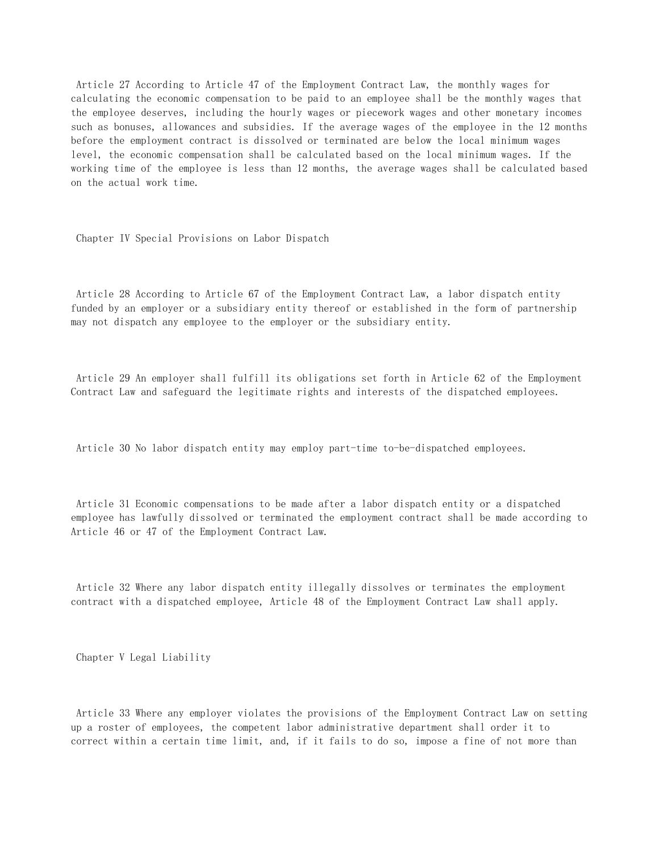Article 27 According to Article 47 of the Employment Contract Law, the monthly wages for calculating the economic compensation to be paid to an employee shall be the monthly wages that the employee deserves, including the hourly wages or piecework wages and other monetary incomes such as bonuses, allowances and subsidies. If the average wages of the employee in the 12 months before the employment contract is dissolved or terminated are below the local minimum wages level, the economic compensation shall be calculated based on the local minimum wages. If the working time of the employee is less than 12 months, the average wages shall be calculated based on the actual work time.

Chapter IV Special Provisions on Labor Dispatch

 Article 28 According to Article 67 of the Employment Contract Law, a labor dispatch entity funded by an employer or a subsidiary entity thereof or established in the form of partnership may not dispatch any employee to the employer or the subsidiary entity.

 Article 29 An employer shall fulfill its obligations set forth in Article 62 of the Employment Contract Law and safeguard the legitimate rights and interests of the dispatched employees.

Article 30 No labor dispatch entity may employ part-time to-be-dispatched employees.

 Article 31 Economic compensations to be made after a labor dispatch entity or a dispatched employee has lawfully dissolved or terminated the employment contract shall be made according to Article 46 or 47 of the Employment Contract Law.

 Article 32 Where any labor dispatch entity illegally dissolves or terminates the employment contract with a dispatched employee, Article 48 of the Employment Contract Law shall apply.

Chapter V Legal Liability

 Article 33 Where any employer violates the provisions of the Employment Contract Law on setting up a roster of employees, the competent labor administrative department shall order it to correct within a certain time limit, and, if it fails to do so, impose a fine of not more than